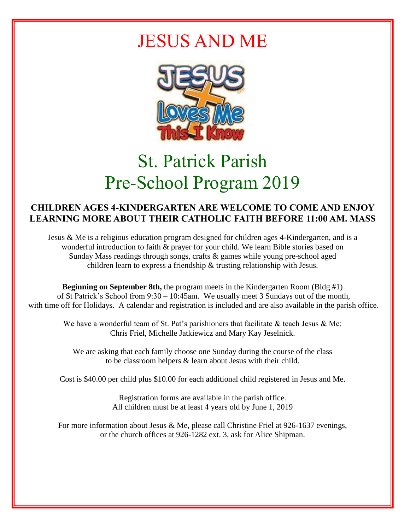## JESUS AND ME



# St. Patrick Parish Pre-School Program 2019

#### **CHILDREN AGES 4-KINDERGARTEN ARE WELCOME TO COME AND ENJOY LEARNING MORE ABOUT THEIR CATHOLIC FAITH BEFORE 11:00 AM. MASS**

Jesus & Me is a religious education program designed for children ages 4-Kindergarten, and is a wonderful introduction to faith & prayer for your child. We learn Bible stories based on Sunday Mass readings through songs, crafts & games while young pre-school aged children learn to express a friendship & trusting relationship with Jesus.

**Beginning on September 8th,** the program meets in the Kindergarten Room (Bldg #1) of St Patrick's School from 9:30 – 10:45am. We usually meet 3 Sundays out of the month, with time off for Holidays. A calendar and registration is included and are also available in the parish office.

We have a wonderful team of St. Pat's parishioners that facilitate & teach Jesus & Me: Chris Friel, Michelle Jatkiewicz and Mary Kay Jeselnick.

We are asking that each family choose one Sunday during the course of the class to be classroom helpers & learn about Jesus with their child.

Cost is \$40.00 per child plus \$10.00 for each additional child registered in Jesus and Me.

Registration forms are available in the parish office. All children must be at least 4 years old by June 1, 2019

For more information about Jesus & Me, please call Christine Friel at 926-1637 evenings, or the church offices at 926-1282 ext. 3, ask for Alice Shipman.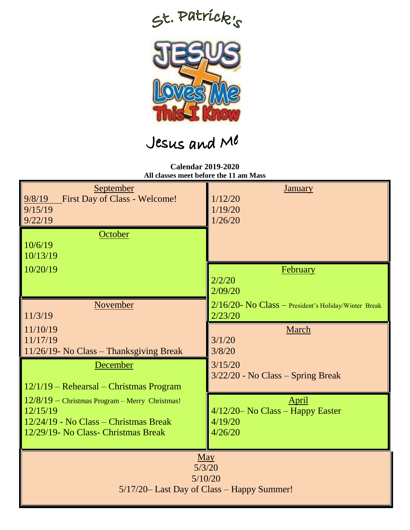



### Jesus and Me

**Calendar 2019-2020 All classes meet before the 11 am Mass**

| September<br><b>First Day of Class - Welcome!</b><br>9/8/19<br>9/15/19<br>9/22/19<br>October | <u>January</u><br>1/12/20<br>1/19/20<br>1/26/20         |  |
|----------------------------------------------------------------------------------------------|---------------------------------------------------------|--|
| 10/6/19<br>10/13/19<br>10/20/19                                                              | February                                                |  |
|                                                                                              | 2/2/20<br>2/09/20                                       |  |
| November                                                                                     | $2/16/20$ - No Class – President's Holiday/Winter Break |  |
| 11/3/19                                                                                      | 2/23/20                                                 |  |
| 11/10/19                                                                                     | March                                                   |  |
| 11/17/19                                                                                     | 3/1/20                                                  |  |
| 11/26/19- No Class - Thanksgiving Break                                                      | 3/8/20                                                  |  |
| December                                                                                     | 3/15/20                                                 |  |
| $12/1/19$ – Rehearsal – Christmas Program                                                    | $3/22/20$ - No Class – Spring Break                     |  |
| $12/8/19$ - Christmas Program - Merry Christmas!                                             | <b>April</b>                                            |  |
| 12/15/19                                                                                     | $4/12/20$ No Class – Happy Easter                       |  |
| 12/24/19 - No Class – Christmas Break                                                        | 4/19/20                                                 |  |
| 12/29/19- No Class- Christmas Break                                                          | 4/26/20                                                 |  |
| $\underline{May}$<br>5/3/20<br>5/10/20<br>5/17/20– Last Day of Class – Happy Summer!         |                                                         |  |